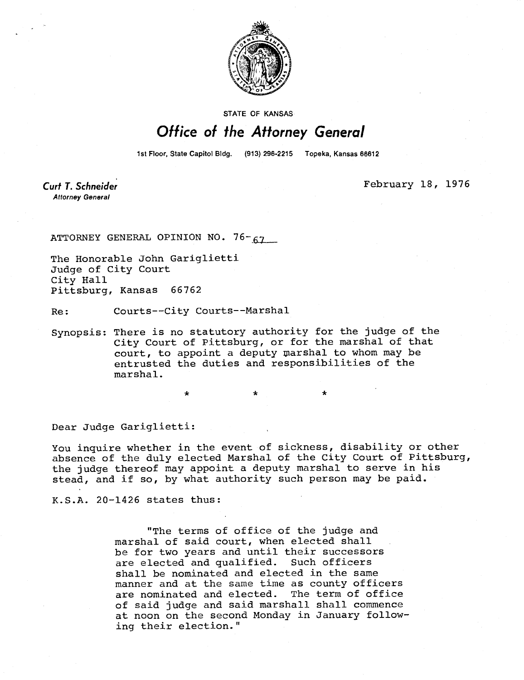

STATE OF KANSAS

## Office of the Attorney General

1st Floor, State Capitol Bldg. (913) 296-2215 Topeka, Kansas 66612

Curt T. Schneider **Attorney General** 

February 18, 1976

ATTORNEY GENERAL OPINION NO. 76-67

The Honorable John Gariglietti Judge of City Court City Hall Pittsburg, Kansas 66762

Re: Courts--City Courts--Marshal

\*

Synopsis: There is no statutory authority for the judge of the City Court of Pittsburg, or for the marshal of that court, to appoint a deputy marshal to whom may be entrusted the duties and responsibilities of the marshal.

Dear Judge Gariglietti:

You inquire whether in the event of sickness, disability or other absence of the duly elected Marshal of the City Court of Pittsburg, the judge thereof may appoint a deputy marshal to serve in his stead, and if so, by what authority such person may be paid.

K.S.A. 20-1426 states thus:

"The terms of office of the judge and marshal of said court, when elected shall be for two years and until their successors are elected and qualified. Such officers shall be nominated and elected in the same manner and at the same time as county officers are nominated and elected. The term of office of said judge and said marshall shall commence at noon on the second Monday in January following their election."